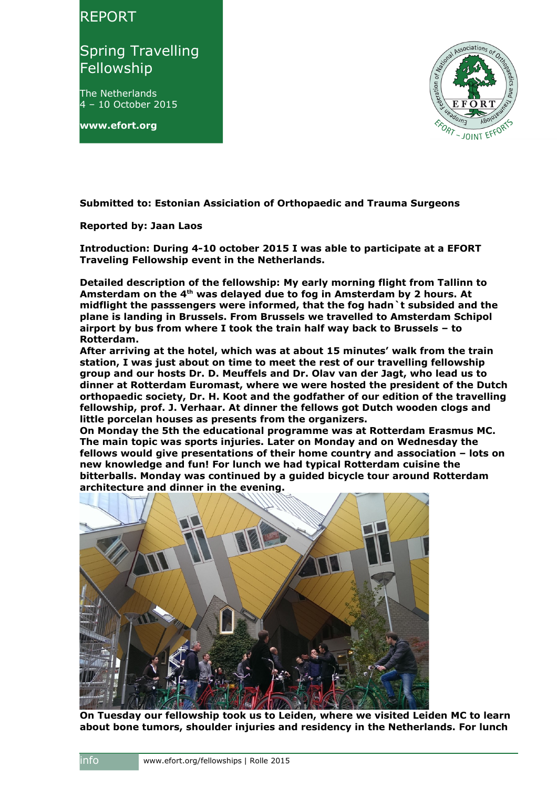## Spring Travelling Fellowship

The Netherlands 4 – 10 October 2015

**www.efort.org**



**Submitted to: Estonian Assiciation of Orthopaedic and Trauma Surgeons**

**Reported by: Jaan Laos**

**Introduction: During 4-10 october 2015 I was able to participate at a EFORT Traveling Fellowship event in the Netherlands.**

**Detailed description of the fellowship: My early morning flight from Tallinn to Amsterdam on the 4th was delayed due to fog in Amsterdam by 2 hours. At midflight the passsengers were informed, that the fog hadn`t subsided and the plane is landing in Brussels. From Brussels we travelled to Amsterdam Schipol airport by bus from where I took the train half way back to Brussels – to Rotterdam.**

**After arriving at the hotel, which was at about 15 minutes' walk from the train station, I was just about on time to meet the rest of our travelling fellowship group and our hosts Dr. D. Meuffels and Dr. Olav van der Jagt, who lead us to dinner at Rotterdam Euromast, where we were hosted the president of the Dutch orthopaedic society, Dr. H. Koot and the godfather of our edition of the travelling fellowship, prof. J. Verhaar. At dinner the fellows got Dutch wooden clogs and little porcelan houses as presents from the organizers.**

**On Monday the 5th the educational programme was at Rotterdam Erasmus MC. The main topic was sports injuries. Later on Monday and on Wednesday the fellows would give presentations of their home country and association – lots on new knowledge and fun! For lunch we had typical Rotterdam cuisine the bitterballs. Monday was continued by a guided bicycle tour around Rotterdam architecture and dinner in the evening.**



**On Tuesday our fellowship took us to Leiden, where we visited Leiden MC to learn about bone tumors, shoulder injuries and residency in the Netherlands. For lunch** 

info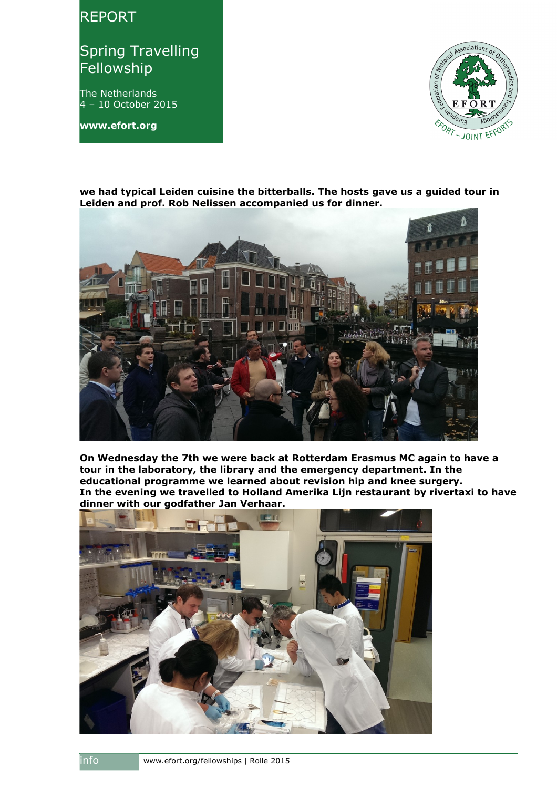# Spring Travelling **Fellowship**

The Netherlands 4 – 10 October 2015

**www.efort.org**



**we had typical Leiden cuisine the bitterballs. The hosts gave us a guided tour in Leiden and prof. Rob Nelissen accompanied us for dinner.**



**On Wednesday the 7th we were back at Rotterdam Erasmus MC again to have a tour in the laboratory, the library and the emergency department. In the educational programme we learned about revision hip and knee surgery. In the evening we travelled to Holland Amerika Lijn restaurant by rivertaxi to have dinner with our godfather Jan Verhaar.**

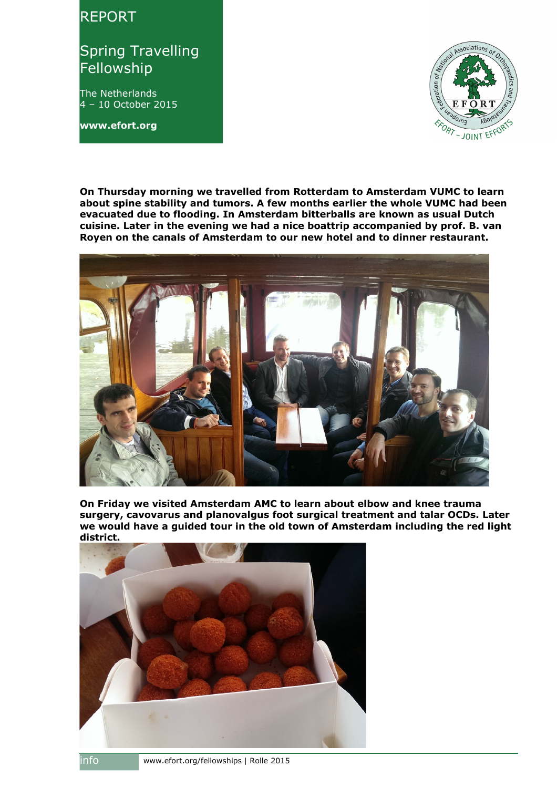## Spring Travelling **Fellowship**

The Netherlands 4 – 10 October 2015

**www.efort.org**



**On Thursday morning we travelled from Rotterdam to Amsterdam VUMC to learn about spine stability and tumors. A few months earlier the whole VUMC had been evacuated due to flooding. In Amsterdam bitterballs are known as usual Dutch cuisine. Later in the evening we had a nice boattrip accompanied by prof. B. van Royen on the canals of Amsterdam to our new hotel and to dinner restaurant.**



**On Friday we visited Amsterdam AMC to learn about elbow and knee trauma surgery, cavovarus and planovalgus foot surgical treatment and talar OCDs. Later we would have a guided tour in the old town of Amsterdam including the red light district.**